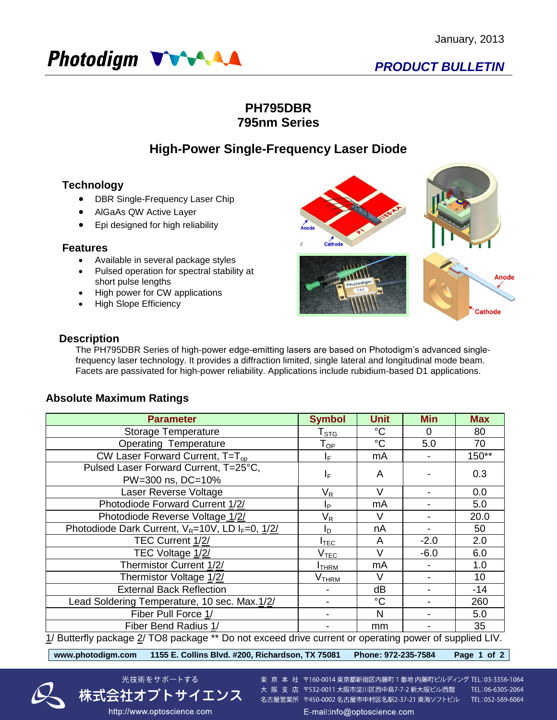

### **PH795DBR 795nm Series**

## **High-Power Single-Frequency Laser Diode**

### **Technology**

- DBR Single-Frequency Laser Chip
- AlGaAs QW Active Layer
- Epi designed for high reliability

### **Features**

- Available in several package styles
- Pulsed operation for spectral stability at short pulse lengths
- High power for CW applications
- High Slope Efficiency



### **Description**

The PH795DBR Series of high-power edge-emitting lasers are based on Photodigm's advanced singlefrequency laser technology. It provides a diffraction limited, single lateral and longitudinal mode beam. Facets are passivated for high-power reliability. Applications include rubidium-based D1 applications.

### **Absolute Maximum Ratings**

| <b>Parameter</b>                                                                                       | <b>Symbol</b>               | <b>Unit</b> | <b>Min</b> | <b>Max</b> |  |  |  |
|--------------------------------------------------------------------------------------------------------|-----------------------------|-------------|------------|------------|--|--|--|
| <b>Storage Temperature</b>                                                                             | $\mathsf{T}_{\texttt{STG}}$ | $^{\circ}C$ | $\Omega$   | 80         |  |  |  |
| <b>Operating Temperature</b>                                                                           | ${\mathsf T}_{\textsf{OP}}$ | $^{\circ}C$ | 5.0        | 70         |  |  |  |
| CW Laser Forward Current, $T=T_{op}$                                                                   | IF.                         | mA          |            | 150**      |  |  |  |
| Pulsed Laser Forward Current, T=25°C,                                                                  | $I_F$                       | A           |            | 0.3        |  |  |  |
| PW=300 ns, DC=10%                                                                                      |                             |             |            |            |  |  |  |
| Laser Reverse Voltage                                                                                  | $\mathsf{V}_\mathsf{R}$     | V           |            | 0.0        |  |  |  |
| Photodiode Forward Current 1/2/                                                                        | Iр                          | mA          |            | 5.0        |  |  |  |
| Photodiode Reverse Voltage 1/2/                                                                        | $V_R$                       | V           |            | 20.0       |  |  |  |
| Photodiode Dark Current, $V_R = 10V$ , LD I <sub>F</sub> =0, 1/2/                                      | ΙD                          | nA          |            | 50         |  |  |  |
| TEC Current 1/2/                                                                                       | <b>I</b> TEC                | A           | $-2.0$     | 2.0        |  |  |  |
| TEC Voltage 1/2/                                                                                       | $\mathsf{V}_{\mathsf{TEC}}$ | V           | $-6.0$     | 6.0        |  |  |  |
| Thermistor Current 1/2/                                                                                | <b>I</b> THRM               | mA          |            | 1.0        |  |  |  |
| Thermistor Voltage 1/2/                                                                                | V <sub>THRM</sub>           | V           |            | 10         |  |  |  |
| <b>External Back Reflection</b>                                                                        |                             | dB          |            | $-14$      |  |  |  |
| Lead Soldering Temperature, 10 sec. Max.1/2/                                                           |                             | $^{\circ}C$ |            | 260        |  |  |  |
| Fiber Pull Force 1/                                                                                    |                             | N           |            | 5.0        |  |  |  |
| Fiber Bend Radius 1/                                                                                   |                             | mm          |            | 35         |  |  |  |
| 1/ Butterfly package 2/ TO8 package ** Do not exceed drive current or operating power of supplied LIV. |                             |             |            |            |  |  |  |

**www.photodigm.com 1155 E. Collins Blvd. #200, Richardson, TX 75081 Phone: 972-235-7584 Page 1 of 2** 

光技術をサポートする

株式会社オプトサイエンス

http://www.optoscience.com



東 京 本 社 〒160-0014 東京都新宿区内藤町 1 番地 内藤町ビルディング TEL:03-3356-1064 大阪支店 〒532-0011 大阪市淀川区西中島7-7-2 新大阪ビル西館 名古屋営業所 〒450-0002 名古屋市中村区名駅2-37-21 東海ソフトビル TEL:052-569-6064

TEL:06-6305-2064

E-mail:info@optoscience.com